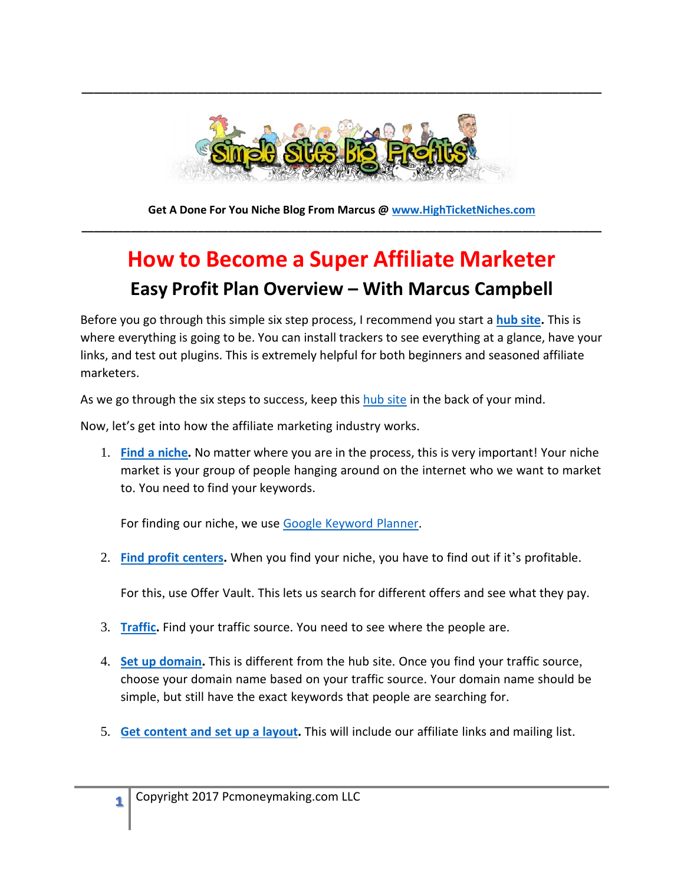

**\_\_\_\_\_\_\_\_\_\_\_\_\_\_\_\_\_\_\_\_\_\_\_\_\_\_\_\_\_\_\_\_\_\_\_\_\_\_\_\_\_\_\_\_\_\_\_\_\_\_\_\_\_\_\_\_\_\_\_\_\_\_\_\_\_\_\_\_\_\_\_\_\_\_\_\_\_\_\_\_\_\_\_\_\_**

**Get A Done For You Niche Blog From Marcus @ [www.HighTicketNiches.com](http://www.highticketniches.com/)  \_\_\_\_\_\_\_\_\_\_\_\_\_\_\_\_\_\_\_\_\_\_\_\_\_\_\_\_\_\_\_\_\_\_\_\_\_\_\_\_\_\_\_\_\_\_\_\_\_\_\_\_\_\_\_\_\_\_\_\_\_\_\_\_\_\_\_\_\_\_\_\_\_\_\_\_\_\_\_\_\_\_\_\_\_**

## **How to Become a Super Affiliate Marketer Easy Profit Plan Overview – With Marcus Campbell**

Before you go through this simple six step process, I recommend you start a **[hub site.](http://simplesitesbigprofits.com/?p=1250)** This is where everything is going to be. You can install trackers to see everything at a glance, have your links, and test out plugins. This is extremely helpful for both beginners and seasoned affiliate marketers.

As we go through the six steps to success, keep this [hub site](http://simplesitesbigprofits.com/?p=1250) in the back of your mind.

Now, let's get into how the affiliate marketing industry works.

1. **Find a [niche](http://simplesitesbigprofits.com/?p=1234).** No matter where you are in the process, this is very important! Your niche market is your group of people hanging around on the internet who we want to market to. You need to find your keywords.

For finding our niche, we use Google [Keyword](http://simplesitesbigprofits.com/?p=1234) Planner.

2. **Find profit [centers](http://simplesitesbigprofits.com/?p=1089).** When you find your niche, you have to find out if it's profitable.

For this, use Offer Vault. This lets us search for different offers and see what they pay.

- 3. **[Traffic](http://simplesitesbigprofits.com/?p=1242).** Find your traffic source. You need to see where the people are.
- 4. **Set up [domain](https://simplesitesbigprofits.com/?p=1140).** This is different from the hub site. Once you find your traffic source, choose your domain name based on your traffic source. Your domain name should be simple, but still have the exact keywords that people are searching for.
- 5. **Get [content](http://simplesitesbigprofits.com/?p=1252) and set up a layout.** This will include our affiliate links and mailing list.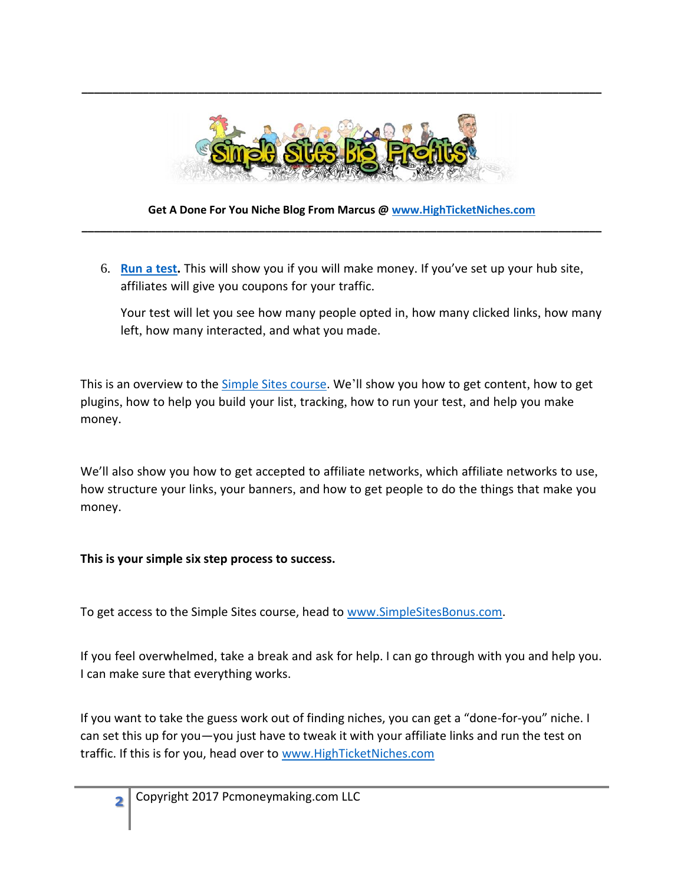

**\_\_\_\_\_\_\_\_\_\_\_\_\_\_\_\_\_\_\_\_\_\_\_\_\_\_\_\_\_\_\_\_\_\_\_\_\_\_\_\_\_\_\_\_\_\_\_\_\_\_\_\_\_\_\_\_\_\_\_\_\_\_\_\_\_\_\_\_\_\_\_\_\_\_\_\_\_\_\_\_\_\_\_\_\_**

### **Get A Done For You Niche Blog From Marcus @ [www.HighTicketNiches.com](http://www.highticketniches.com/)  \_\_\_\_\_\_\_\_\_\_\_\_\_\_\_\_\_\_\_\_\_\_\_\_\_\_\_\_\_\_\_\_\_\_\_\_\_\_\_\_\_\_\_\_\_\_\_\_\_\_\_\_\_\_\_\_\_\_\_\_\_\_\_\_\_\_\_\_\_\_\_\_\_\_\_\_\_\_\_\_\_\_\_\_\_**

6. **[Run](http://simplesitesbigprofits.com/?p=1254) a test.** This will show you if you will make money. If you've set up your hub site, affiliates will give you coupons for your traffic.

Your test will let you see how many people opted in, how many clicked links, how many left, how many interacted, and what you made.

This is an overview to the [Simple Sites course.](http://www.simplesitesbigprofits.com/download.php) We'll show you how to get content, how to get plugins, how to help you build your list, tracking, how to run your test, and help you make money.

We'll also show you how to get accepted to affiliate networks, which affiliate networks to use, how structure your links, your banners, and how to get people to do the things that make you money.

#### **This is your simple six step process to success.**

To get access to the Simple Sites course, head to [www.SimpleSitesBonus.com.](http://www.simplesitesbonus.com/)

If you feel overwhelmed, take a break and ask for help. I can go through with you and help you. I can make sure that everything works.

If you want to take the guess work out of finding niches, you can get a "done-for-you" niche. I can set this up for you—you just have to tweak it with your affiliate links and run the test on traffic. If this is for you, head over to [www.HighTicketNiches.com](http://www.highticketniches.com/)